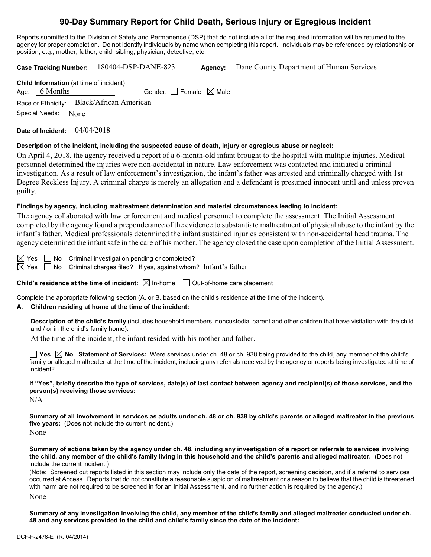## **90-Day Summary Report for Child Death, Serious Injury or Egregious Incident**

Reports submitted to the Division of Safety and Permanence (DSP) that do not include all of the required information will be returned to the agency for proper completion. Do not identify individuals by name when completing this report. Individuals may be referenced by relationship or position; e.g., mother, father, child, sibling, physician, detective, etc.

**Case Tracking Number:** 180404-DSP-DANE-823 **Agency:** Dane County Department of Human Services **Child Information** (at time of incident) Age: 6 Months Gender:  $\Box$  Female  $\boxtimes$  Male

Race or Ethnicity: Black/African American

Special Needs: None

**Date of Incident:** 04/04/2018

#### **Description of the incident, including the suspected cause of death, injury or egregious abuse or neglect:**

On April 4, 2018, the agency received a report of a 6-month-old infant brought to the hospital with multiple injuries. Medical personnel determined the injuries were non-accidental in nature. Law enforcement was contacted and initiated a criminal investigation. As a result of law enforcement's investigation, the infant's father was arrested and criminally charged with 1st Degree Reckless Injury. A criminal charge is merely an allegation and a defendant is presumed innocent until and unless proven guilty.

#### **Findings by agency, including maltreatment determination and material circumstances leading to incident:**

The agency collaborated with law enforcement and medical personnel to complete the assessment. The Initial Assessment completed by the agency found a preponderance of the evidence to substantiate maltreatment of physical abuse to the infant by the infant's father. Medical professionals determined the infant sustained injuries consistent with non-accidental head trauma. The agency determined the infant safe in the care of his mother. The agency closed the case upon completion of the Initial Assessment.

 $\boxtimes$  Yes  $\Box$  No Criminal investigation pending or completed?

 $\boxtimes$  Yes  $\;\Box$  No Criminal charges filed? If yes, against whom? Infant's father

**Child's residence at the time of incident:**  $\boxtimes$  In-home  $\Box$  Out-of-home care placement

Complete the appropriate following section (A. or B. based on the child's residence at the time of the incident).

#### **A. Children residing at home at the time of the incident:**

**Description of the child's family** (includes household members, noncustodial parent and other children that have visitation with the child and / or in the child's family home):

At the time of the incident, the infant resided with his mother and father.

**Yes No Statement of Services:** Were services under ch. 48 or ch. 938 being provided to the child, any member of the child's family or alleged maltreater at the time of the incident, including any referrals received by the agency or reports being investigated at time of incident?

**If "Yes", briefly describe the type of services, date(s) of last contact between agency and recipient(s) of those services, and the person(s) receiving those services:**

N/A

**Summary of all involvement in services as adults under ch. 48 or ch. 938 by child's parents or alleged maltreater in the previous five years:** (Does not include the current incident.)

None

**Summary of actions taken by the agency under ch. 48, including any investigation of a report or referrals to services involving the child, any member of the child's family living in this household and the child's parents and alleged maltreater.** (Does not include the current incident.)

(Note: Screened out reports listed in this section may include only the date of the report, screening decision, and if a referral to services occurred at Access. Reports that do not constitute a reasonable suspicion of maltreatment or a reason to believe that the child is threatened with harm are not required to be screened in for an Initial Assessment, and no further action is required by the agency.) None

**Summary of any investigation involving the child, any member of the child's family and alleged maltreater conducted under ch. 48 and any services provided to the child and child's family since the date of the incident:**